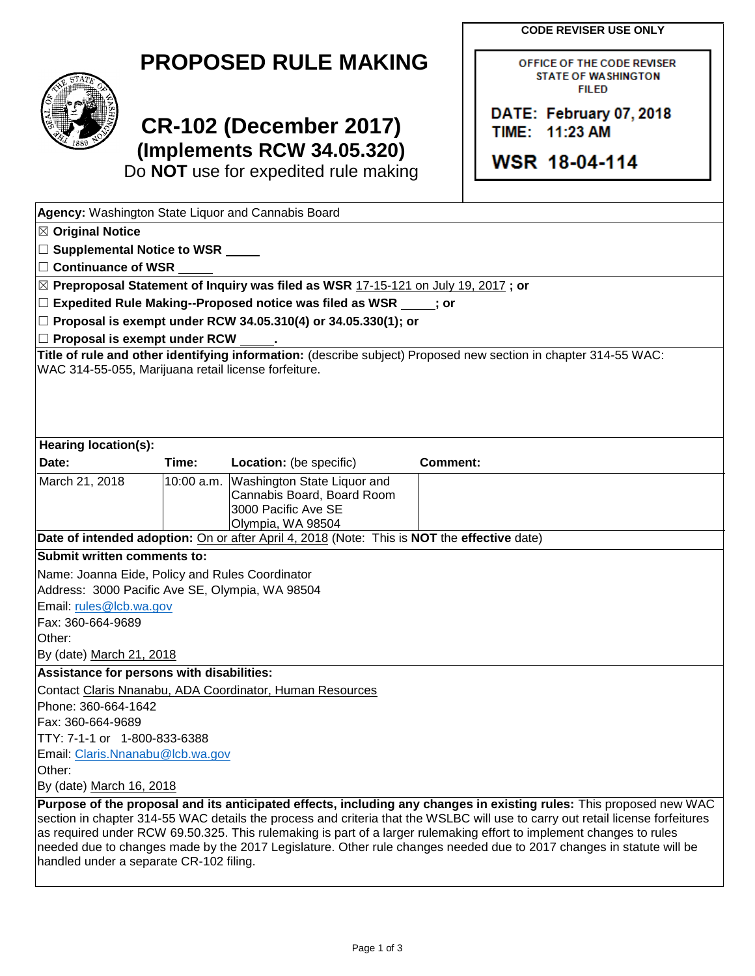**CODE REVISER USE ONLY**

OFFICE OF THE CODE REVISER **STATE OF WASHINGTON FILED** 

DATE: February 07, 2018

TIME: 11:23 AM

WSR 18-04-114



## **CR-102 (December 2017) (Implements RCW 34.05.320)**

Do **NOT** use for expedited rule making

| Agency: Washington State Liquor and Cannabis Board                                                                                                                                                                                                                                                                                                                                                                                                                                                                                               |       |                                                                                                                  |          |  |  |  |  |
|--------------------------------------------------------------------------------------------------------------------------------------------------------------------------------------------------------------------------------------------------------------------------------------------------------------------------------------------------------------------------------------------------------------------------------------------------------------------------------------------------------------------------------------------------|-------|------------------------------------------------------------------------------------------------------------------|----------|--|--|--|--|
| $\boxtimes$ Original Notice                                                                                                                                                                                                                                                                                                                                                                                                                                                                                                                      |       |                                                                                                                  |          |  |  |  |  |
| □ Supplemental Notice to WSR _____                                                                                                                                                                                                                                                                                                                                                                                                                                                                                                               |       |                                                                                                                  |          |  |  |  |  |
| $\Box$ Continuance of WSR                                                                                                                                                                                                                                                                                                                                                                                                                                                                                                                        |       |                                                                                                                  |          |  |  |  |  |
|                                                                                                                                                                                                                                                                                                                                                                                                                                                                                                                                                  |       | $\boxtimes$ Preproposal Statement of Inquiry was filed as WSR 17-15-121 on July 19, 2017 ; or                    |          |  |  |  |  |
|                                                                                                                                                                                                                                                                                                                                                                                                                                                                                                                                                  |       | $\Box$ Expedited Rule Making--Proposed notice was filed as WSR $\Box$ ; or                                       |          |  |  |  |  |
| $\Box$ Proposal is exempt under RCW 34.05.310(4) or 34.05.330(1); or                                                                                                                                                                                                                                                                                                                                                                                                                                                                             |       |                                                                                                                  |          |  |  |  |  |
| $\Box$ Proposal is exempt under RCW                                                                                                                                                                                                                                                                                                                                                                                                                                                                                                              |       |                                                                                                                  |          |  |  |  |  |
| Title of rule and other identifying information: (describe subject) Proposed new section in chapter 314-55 WAC:<br>WAC 314-55-055, Marijuana retail license forfeiture.                                                                                                                                                                                                                                                                                                                                                                          |       |                                                                                                                  |          |  |  |  |  |
| <b>Hearing location(s):</b>                                                                                                                                                                                                                                                                                                                                                                                                                                                                                                                      |       |                                                                                                                  |          |  |  |  |  |
| Date:                                                                                                                                                                                                                                                                                                                                                                                                                                                                                                                                            | Time: | <b>Location:</b> (be specific)                                                                                   | Comment: |  |  |  |  |
| March 21, 2018                                                                                                                                                                                                                                                                                                                                                                                                                                                                                                                                   |       | 10:00 a.m. Washington State Liquor and<br>Cannabis Board, Board Room<br>3000 Pacific Ave SE<br>Olympia, WA 98504 |          |  |  |  |  |
|                                                                                                                                                                                                                                                                                                                                                                                                                                                                                                                                                  |       | Date of intended adoption: On or after April 4, 2018 (Note: This is NOT the effective date)                      |          |  |  |  |  |
| Submit written comments to:                                                                                                                                                                                                                                                                                                                                                                                                                                                                                                                      |       |                                                                                                                  |          |  |  |  |  |
| Name: Joanna Eide, Policy and Rules Coordinator                                                                                                                                                                                                                                                                                                                                                                                                                                                                                                  |       |                                                                                                                  |          |  |  |  |  |
| Address: 3000 Pacific Ave SE, Olympia, WA 98504                                                                                                                                                                                                                                                                                                                                                                                                                                                                                                  |       |                                                                                                                  |          |  |  |  |  |
| Email: rules@lcb.wa.gov                                                                                                                                                                                                                                                                                                                                                                                                                                                                                                                          |       |                                                                                                                  |          |  |  |  |  |
| Fax: 360-664-9689                                                                                                                                                                                                                                                                                                                                                                                                                                                                                                                                |       |                                                                                                                  |          |  |  |  |  |
| Other:                                                                                                                                                                                                                                                                                                                                                                                                                                                                                                                                           |       |                                                                                                                  |          |  |  |  |  |
| By (date) March 21, 2018                                                                                                                                                                                                                                                                                                                                                                                                                                                                                                                         |       |                                                                                                                  |          |  |  |  |  |
| Assistance for persons with disabilities:                                                                                                                                                                                                                                                                                                                                                                                                                                                                                                        |       |                                                                                                                  |          |  |  |  |  |
| Contact Claris Nnanabu, ADA Coordinator, Human Resources                                                                                                                                                                                                                                                                                                                                                                                                                                                                                         |       |                                                                                                                  |          |  |  |  |  |
| Phone: 360-664-1642                                                                                                                                                                                                                                                                                                                                                                                                                                                                                                                              |       |                                                                                                                  |          |  |  |  |  |
| Fax: 360-664-9689                                                                                                                                                                                                                                                                                                                                                                                                                                                                                                                                |       |                                                                                                                  |          |  |  |  |  |
| TTY: 7-1-1 or 1-800-833-6388                                                                                                                                                                                                                                                                                                                                                                                                                                                                                                                     |       |                                                                                                                  |          |  |  |  |  |
| Email: Claris.Nnanabu@lcb.wa.gov                                                                                                                                                                                                                                                                                                                                                                                                                                                                                                                 |       |                                                                                                                  |          |  |  |  |  |
| Other:<br>By (date) March 16, 2018                                                                                                                                                                                                                                                                                                                                                                                                                                                                                                               |       |                                                                                                                  |          |  |  |  |  |
|                                                                                                                                                                                                                                                                                                                                                                                                                                                                                                                                                  |       |                                                                                                                  |          |  |  |  |  |
| Purpose of the proposal and its anticipated effects, including any changes in existing rules: This proposed new WAC<br>section in chapter 314-55 WAC details the process and criteria that the WSLBC will use to carry out retail license forfeitures<br>as required under RCW 69.50.325. This rulemaking is part of a larger rulemaking effort to implement changes to rules<br>needed due to changes made by the 2017 Legislature. Other rule changes needed due to 2017 changes in statute will be<br>handled under a separate CR-102 filing. |       |                                                                                                                  |          |  |  |  |  |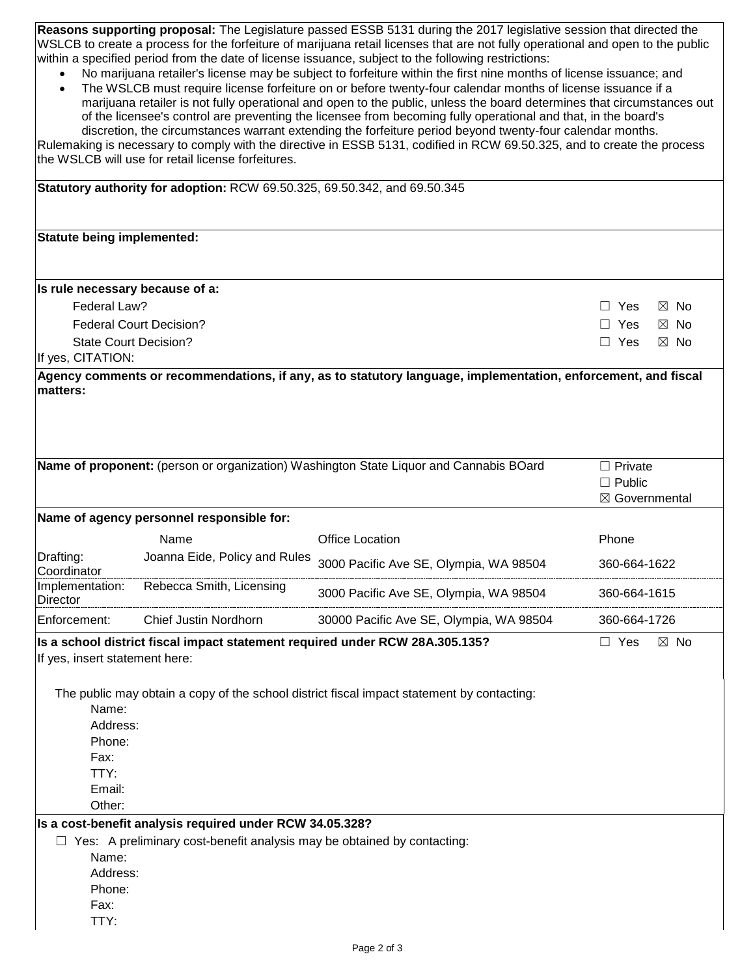**Reasons supporting proposal:** The Legislature passed ESSB 5131 during the 2017 legislative session that directed the WSLCB to create a process for the forfeiture of marijuana retail licenses that are not fully operational and open to the public within a specified period from the date of license issuance, subject to the following restrictions:

- No marijuana retailer's license may be subject to forfeiture within the first nine months of license issuance; and
- The WSLCB must require license forfeiture on or before twenty-four calendar months of license issuance if a marijuana retailer is not fully operational and open to the public, unless the board determines that circumstances out of the licensee's control are preventing the licensee from becoming fully operational and that, in the board's discretion, the circumstances warrant extending the forfeiture period beyond twenty-four calendar months.

Rulemaking is necessary to comply with the directive in ESSB 5131, codified in RCW 69.50.325, and to create the process the WSLCB will use for retail license forfeitures.

| Statutory authority for adoption: RCW 69.50.325, 69.50.342, and 69.50.345 |                                                                                |                                                                                                               |                                                   |  |  |  |
|---------------------------------------------------------------------------|--------------------------------------------------------------------------------|---------------------------------------------------------------------------------------------------------------|---------------------------------------------------|--|--|--|
| Statute being implemented:                                                |                                                                                |                                                                                                               |                                                   |  |  |  |
| Is rule necessary because of a:                                           |                                                                                |                                                                                                               |                                                   |  |  |  |
| Federal Law?                                                              | $\boxtimes$ No<br>$\Box$ Yes                                                   |                                                                                                               |                                                   |  |  |  |
| <b>Federal Court Decision?</b>                                            | Yes<br>⊠ No                                                                    |                                                                                                               |                                                   |  |  |  |
| <b>State Court Decision?</b>                                              | Yes<br>$\boxtimes$ No                                                          |                                                                                                               |                                                   |  |  |  |
| If yes, CITATION:                                                         |                                                                                |                                                                                                               |                                                   |  |  |  |
| matters:                                                                  |                                                                                | Agency comments or recommendations, if any, as to statutory language, implementation, enforcement, and fiscal |                                                   |  |  |  |
|                                                                           |                                                                                | Name of proponent: (person or organization) Washington State Liquor and Cannabis BOard                        | $\Box$ Private<br>$\Box$ Public<br>⊠ Governmental |  |  |  |
|                                                                           | Name of agency personnel responsible for:                                      |                                                                                                               |                                                   |  |  |  |
|                                                                           | Name                                                                           | <b>Office Location</b>                                                                                        | Phone                                             |  |  |  |
| Drafting:<br>Coordinator                                                  | Joanna Eide, Policy and Rules                                                  | 3000 Pacific Ave SE, Olympia, WA 98504                                                                        | 360-664-1622                                      |  |  |  |
| Implementation:<br><b>Director</b>                                        | Rebecca Smith, Licensing                                                       | 3000 Pacific Ave SE, Olympia, WA 98504                                                                        | 360-664-1615                                      |  |  |  |
| Enforcement:                                                              | Chief Justin Nordhorn                                                          | 30000 Pacific Ave SE, Olympia, WA 98504                                                                       | 360-664-1726                                      |  |  |  |
| If yes, insert statement here:                                            | Is a school district fiscal impact statement required under RCW 28A.305.135?   |                                                                                                               | $\Box$ Yes<br>$\boxtimes$ No                      |  |  |  |
| Name:<br>Address:<br>Phone:<br>Fax:<br>TTY:<br>Email:<br>Other:           |                                                                                | The public may obtain a copy of the school district fiscal impact statement by contacting:                    |                                                   |  |  |  |
|                                                                           | Is a cost-benefit analysis required under RCW 34.05.328?                       |                                                                                                               |                                                   |  |  |  |
| Name:<br>Address:<br>Phone:<br>Fax:<br>TTY:                               | $\Box$ Yes: A preliminary cost-benefit analysis may be obtained by contacting: |                                                                                                               |                                                   |  |  |  |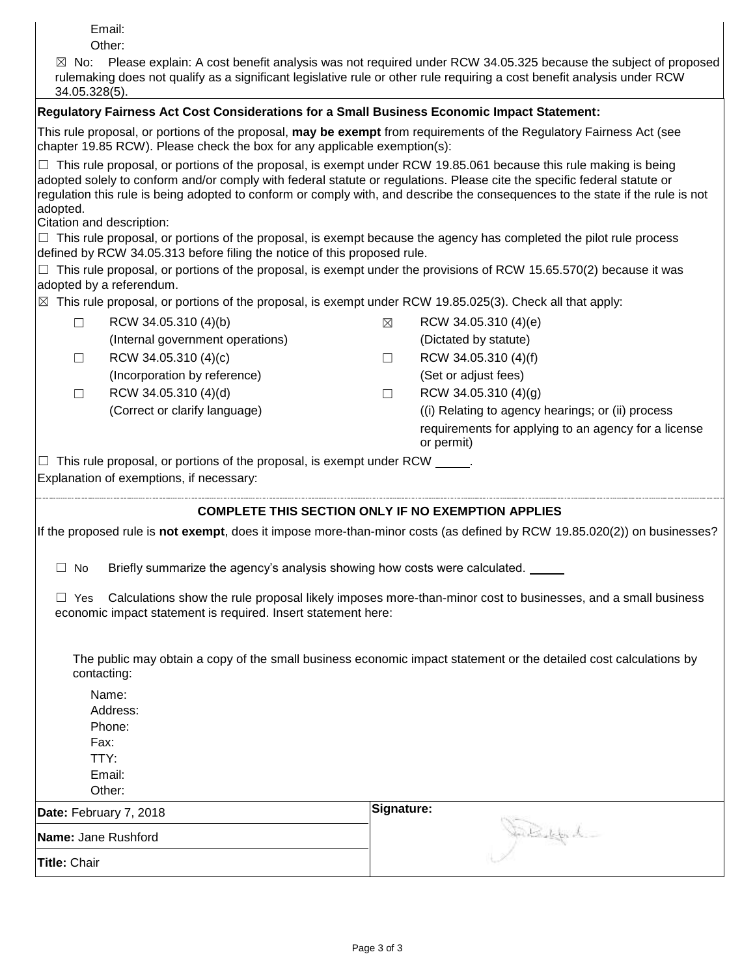Email:

Other:

| $\boxtimes$ No: Please explain: A cost benefit analysis was not required under RCW 34.05.325 because the subject of proposed |
|------------------------------------------------------------------------------------------------------------------------------|
| rulemaking does not qualify as a significant legislative rule or other rule requiring a cost benefit analysis under RCW      |
| $34.05.328(5)$ .                                                                                                             |

## **Regulatory Fairness Act Cost Considerations for a Small Business Economic Impact Statement:**

This rule proposal, or portions of the proposal, **may be exempt** from requirements of the Regulatory Fairness Act (see chapter 19.85 RCW). Please check the box for any applicable exemption(s):

 $\Box$  This rule proposal, or portions of the proposal, is exempt under RCW 19.85.061 because this rule making is being adopted solely to conform and/or comply with federal statute or regulations. Please cite the specific federal statute or regulation this rule is being adopted to conform or comply with, and describe the consequences to the state if the rule is not adopted.

Citation and description:

 $\Box$  This rule proposal, or portions of the proposal, is exempt because the agency has completed the pilot rule process defined by RCW 34.05.313 before filing the notice of this proposed rule.

 $\Box$  This rule proposal, or portions of the proposal, is exempt under the provisions of RCW 15.65.570(2) because it was adopted by a referendum.

 $\boxtimes$  This rule proposal, or portions of the proposal, is exempt under RCW 19.85.025(3). Check all that apply:

| RCW 34.05.310 (4)(b)             | ⊠ | RCW 34.05.310 (4)(e)                                               |
|----------------------------------|---|--------------------------------------------------------------------|
| (Internal government operations) |   | (Dictated by statute)                                              |
| RCW 34.05.310 (4)(c)             |   | RCW 34.05.310 (4)(f)                                               |
| (Incorporation by reference)     |   | (Set or adjust fees)                                               |
| RCW 34.05.310 (4)(d)             |   | RCW 34.05.310 (4)(g)                                               |
| (Correct or clarify language)    |   | (i) Relating to agency hearings; or (ii) process                   |
|                                  |   | requirements for applying to an agency for a license<br>or permit) |

 $\Box$  This rule proposal, or portions of the proposal, is exempt under RCW  $\Box$ . Explanation of exemptions, if necessary:

## **COMPLETE THIS SECTION ONLY IF NO EXEMPTION APPLIES**

If the proposed rule is **not exempt**, does it impose more-than-minor costs (as defined by RCW 19.85.020(2)) on businesses?

 $\Box$  No Briefly summarize the agency's analysis showing how costs were calculated.

 $\Box$  Yes Calculations show the rule proposal likely imposes more-than-minor cost to businesses, and a small business economic impact statement is required. Insert statement here:

The public may obtain a copy of the small business economic impact statement or the detailed cost calculations by contacting:

Name: Address: Phone: Fax:

TTY:

Email:

Other: **Date:** February 7, 2018

**Signature:**

| $P^{\text{ul}}$     | . .                                 |
|---------------------|-------------------------------------|
| Name: Jane Rushford | <b><i>Collective Collective</i></b> |
| <b>Title: Chair</b> |                                     |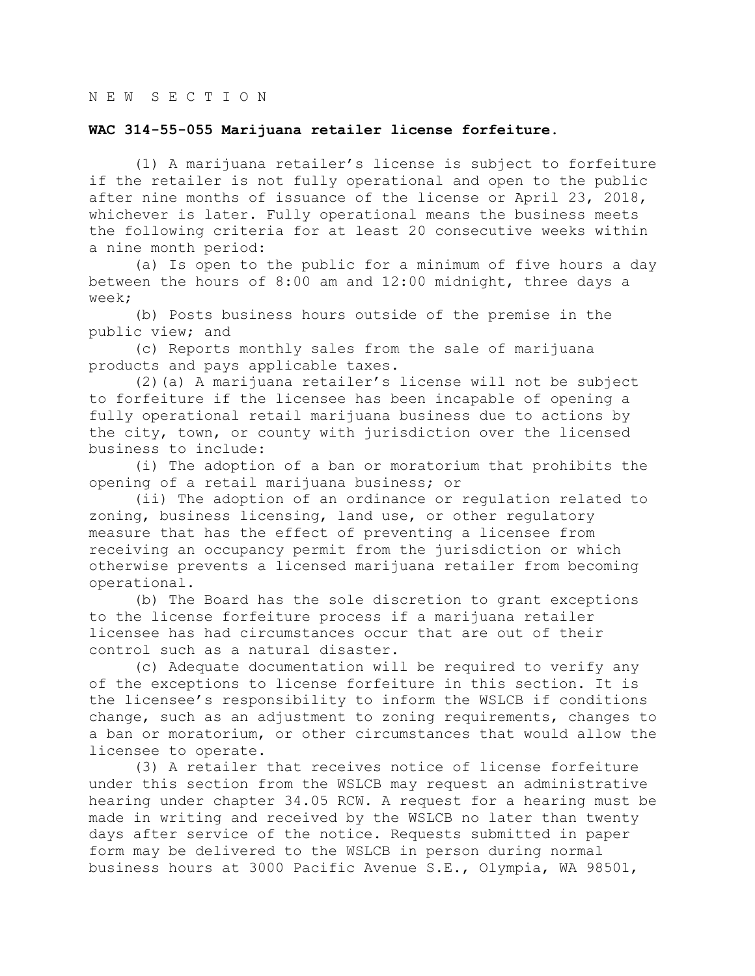## **WAC 314-55-055 Marijuana retailer license forfeiture.**

(1) A marijuana retailer's license is subject to forfeiture if the retailer is not fully operational and open to the public after nine months of issuance of the license or April 23, 2018, whichever is later. Fully operational means the business meets the following criteria for at least 20 consecutive weeks within a nine month period:

(a) Is open to the public for a minimum of five hours a day between the hours of 8:00 am and 12:00 midnight, three days a week;

(b) Posts business hours outside of the premise in the public view; and

(c) Reports monthly sales from the sale of marijuana products and pays applicable taxes.

(2)(a) A marijuana retailer's license will not be subject to forfeiture if the licensee has been incapable of opening a fully operational retail marijuana business due to actions by the city, town, or county with jurisdiction over the licensed business to include:

(i) The adoption of a ban or moratorium that prohibits the opening of a retail marijuana business; or

(ii) The adoption of an ordinance or regulation related to zoning, business licensing, land use, or other regulatory measure that has the effect of preventing a licensee from receiving an occupancy permit from the jurisdiction or which otherwise prevents a licensed marijuana retailer from becoming operational.

(b) The Board has the sole discretion to grant exceptions to the license forfeiture process if a marijuana retailer licensee has had circumstances occur that are out of their control such as a natural disaster.

(c) Adequate documentation will be required to verify any of the exceptions to license forfeiture in this section. It is the licensee's responsibility to inform the WSLCB if conditions change, such as an adjustment to zoning requirements, changes to a ban or moratorium, or other circumstances that would allow the licensee to operate.

(3) A retailer that receives notice of license forfeiture under this section from the WSLCB may request an administrative hearing under chapter 34.05 RCW. A request for a hearing must be made in writing and received by the WSLCB no later than twenty days after service of the notice. Requests submitted in paper form may be delivered to the WSLCB in person during normal business hours at 3000 Pacific Avenue S.E., Olympia, WA 98501,